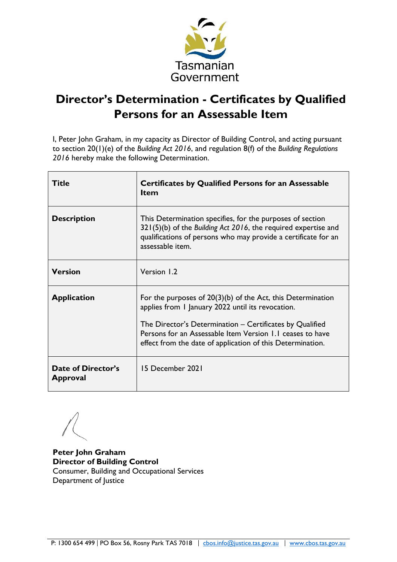

# **Director's Determination - Certificates by Qualified Persons for an Assessable Item**

I, Peter John Graham, in my capacity as Director of Building Control, and acting pursuant to section 20(1)(e) of the *Building Act 2016*, and regulation 8(f) of the *Building Regulations 2016* hereby make the following Determination.

| Title                                 | <b>Certificates by Qualified Persons for an Assessable</b><br><b>Item</b>                                                                                                                                                                                                                                 |
|---------------------------------------|-----------------------------------------------------------------------------------------------------------------------------------------------------------------------------------------------------------------------------------------------------------------------------------------------------------|
| <b>Description</b>                    | This Determination specifies, for the purposes of section<br>$321(5)(b)$ of the Building Act 2016, the required expertise and<br>qualifications of persons who may provide a certificate for an<br>assessable item.                                                                                       |
| <b>Version</b>                        | Version 1.2                                                                                                                                                                                                                                                                                               |
| <b>Application</b>                    | For the purposes of $20(3)(b)$ of the Act, this Determination<br>applies from 1 January 2022 until its revocation.<br>The Director's Determination – Certificates by Qualified<br>Persons for an Assessable Item Version 1.1 ceases to have<br>effect from the date of application of this Determination. |
| Date of Director's<br><b>Approval</b> | 15 December 2021                                                                                                                                                                                                                                                                                          |

**Peter John Graham Director of Building Control**  Consumer, Building and Occupational Services Department of Justice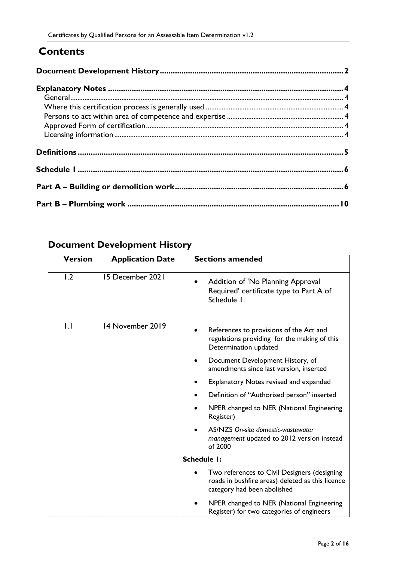## **Contents**

## <span id="page-1-0"></span>**Document Development History**

| <b>Version</b> | <b>Application Date</b> | <b>Sections amended</b>                                                                                                         |
|----------------|-------------------------|---------------------------------------------------------------------------------------------------------------------------------|
| 1.2            | 15 December 2021        | Addition of 'No Planning Approval<br>Required' certificate type to Part A of<br>Schedule I.                                     |
| IJ             | 14 November 2019        | References to provisions of the Act and<br>regulations providing for the making of this<br>Determination updated                |
|                |                         | Document Development History, of<br>amendments since last version, inserted                                                     |
|                |                         | <b>Explanatory Notes revised and expanded</b>                                                                                   |
|                |                         | Definition of "Authorised person" inserted                                                                                      |
|                |                         | NPER changed to NER (National Engineering<br>Register)                                                                          |
|                |                         | AS/NZS On-site domestic-wastewater<br>management updated to 2012 version instead<br>of 2000                                     |
|                |                         | <b>Schedule I:</b>                                                                                                              |
|                |                         | Two references to Civil Designers (designing<br>roads in bushfire areas) deleted as this licence<br>category had been abolished |
|                |                         | NPER changed to NER (National Engineering<br>Register) for two categories of engineers                                          |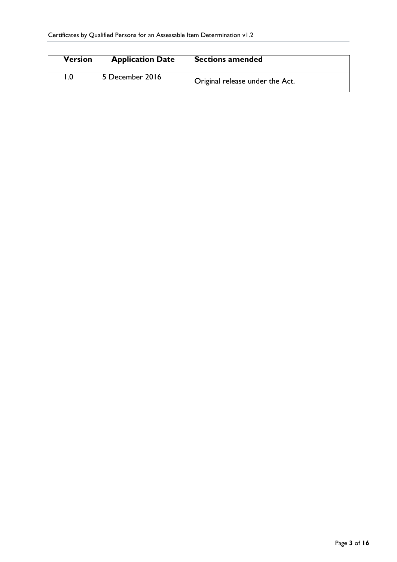| <b>Version</b> | <b>Application Date</b> | <b>Sections amended</b>         |
|----------------|-------------------------|---------------------------------|
|                | 5 December 2016         | Original release under the Act. |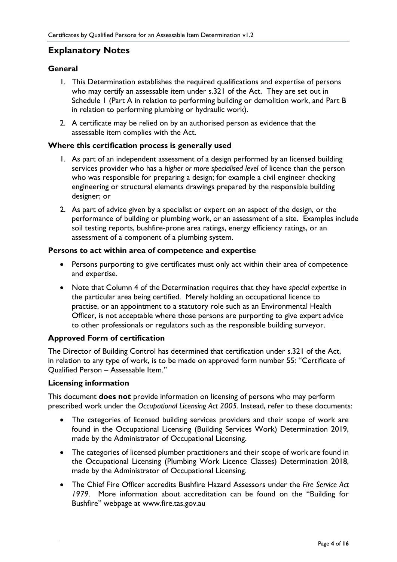### <span id="page-3-0"></span>**Explanatory Notes**

#### <span id="page-3-1"></span>**General**

- 1. This Determination establishes the required qualifications and expertise of persons who may certify an assessable item under s.321 of the Act. They are set out in Schedule 1 (Part A in relation to performing building or demolition work, and Part B in relation to performing plumbing or hydraulic work).
- 2. A certificate may be relied on by an authorised person as evidence that the assessable item complies with the Act.

#### <span id="page-3-2"></span>**Where this certification process is generally used**

- 1. As part of an independent assessment of a design performed by an licensed building services provider who has a *higher or more specialised level* of licence than the person who was responsible for preparing a design; for example a civil engineer checking engineering or structural elements drawings prepared by the responsible building designer; or
- 2. As part of advice given by a specialist or expert on an aspect of the design, or the performance of building or plumbing work, or an assessment of a site. Examples include soil testing reports, bushfire-prone area ratings, energy efficiency ratings, or an assessment of a component of a plumbing system.

#### <span id="page-3-3"></span>**Persons to act within area of competence and expertise**

- Persons purporting to give certificates must only act within their area of competence and expertise.
- Note that Column 4 of the Determination requires that they have *special expertise* in the particular area being certified. Merely holding an occupational licence to practise, or an appointment to a statutory role such as an Environmental Health Officer, is not acceptable where those persons are purporting to give expert advice to other professionals or regulators such as the responsible building surveyor.

#### <span id="page-3-4"></span>**Approved Form of certification**

The Director of Building Control has determined that certification under s.321 of the Act, in relation to any type of work, is to be made on approved form number 55: "Certificate of Qualified Person – Assessable Item."

#### <span id="page-3-5"></span>**Licensing information**

This document **does not** provide information on licensing of persons who may perform prescribed work under the *Occupational Licensing Act 2005*. Instead, refer to these documents:

- The categories of licensed building services providers and their scope of work are found in the Occupational Licensing (Building Services Work) Determination 2019, made by the Administrator of Occupational Licensing.
- The categories of licensed plumber practitioners and their scope of work are found in the Occupational Licensing (Plumbing Work Licence Classes) Determination 2018, made by the Administrator of Occupational Licensing.
- The Chief Fire Officer accredits Bushfire Hazard Assessors under the *Fire Service Act 1979*. More information about accreditation can be found on the "Building for Bushfire" webpage at [www.fire.tas.gov.au](http://www.fire.tas.gov.au/)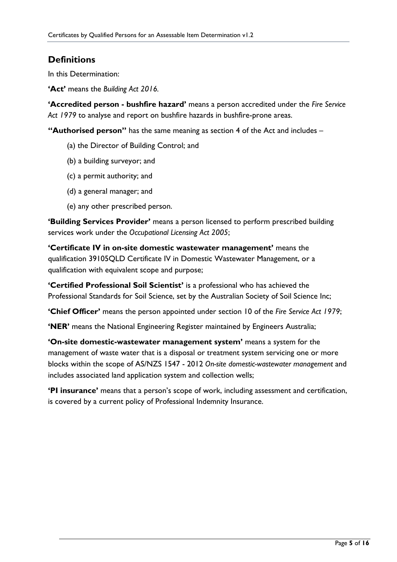## <span id="page-4-0"></span>**Definitions**

In this Determination:

**'Act'** means the *Building Act 2016.*

**'Accredited person - bushfire hazard'** means a person accredited under the *Fire Service Act 1979* to analyse and report on bushfire hazards in bushfire-prone areas.

**"Authorised person"** has the same meaning as section 4 of the Act and includes –

- (a) the Director of Building Control; and
- (b) a building surveyor; and
- (c) a permit authority; and
- (d) a general manager; and
- (e) any other prescribed person.

**'Building Services Provider'** means a person licensed to perform prescribed building services work under the *Occupational Licensing Act 2005*;

**'Certificate IV in on-site domestic wastewater management'** means the qualification 39105QLD Certificate IV in Domestic Wastewater Management, or a qualification with equivalent scope and purpose;

**'Certified Professional Soil Scientist'** is a professional who has achieved the Professional Standards for Soil Science, set by the Australian Society of Soil Science Inc;

**'Chief Officer'** means the person appointed under section 10 of the *Fire Service Act 1979*;

**'NER'** means the National Engineering Register maintained by Engineers Australia;

**'On-site domestic-wastewater management system'** means a system for the management of waste water that is a disposal or treatment system servicing one or more blocks within the scope of AS/NZS 1547 - 2012 *On-site domestic-wastewater management* and includes associated land application system and collection wells;

**'PI insurance'** means that a person's scope of work, including assessment and certification, is covered by a current policy of Professional Indemnity Insurance.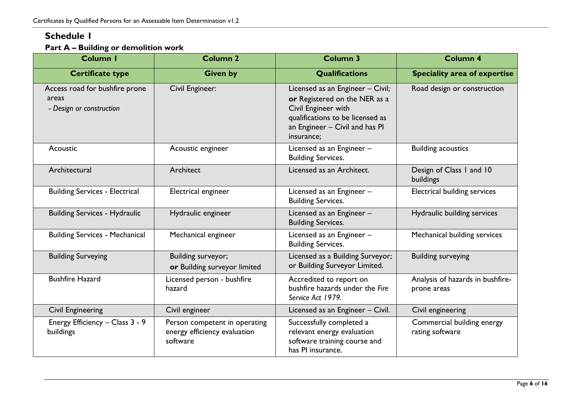## **Schedule 1**

### **Part A – Building or demolition work**

<span id="page-5-1"></span><span id="page-5-0"></span>

| <b>Column I</b>                                                     | <b>Column 2</b>                                                           | <b>Column 3</b>                                                                                                                                                              | <b>Column 4</b>                                 |
|---------------------------------------------------------------------|---------------------------------------------------------------------------|------------------------------------------------------------------------------------------------------------------------------------------------------------------------------|-------------------------------------------------|
| <b>Certificate type</b>                                             | <b>Given by</b>                                                           | Qualifications                                                                                                                                                               | <b>Speciality area of expertise</b>             |
| Access road for bushfire prone<br>areas<br>- Design or construction | Civil Engineer:                                                           | Licensed as an Engineer - Civil;<br>or Registered on the NER as a<br>Civil Engineer with<br>qualifications to be licensed as<br>an Engineer - Civil and has Pl<br>insurance; | Road design or construction                     |
| Acoustic                                                            | Acoustic engineer                                                         | Licensed as an Engineer -<br><b>Building Services.</b>                                                                                                                       | <b>Building acoustics</b>                       |
| Architectural                                                       | Architect                                                                 | Licensed as an Architect.                                                                                                                                                    | Design of Class I and 10<br>buildings           |
| <b>Building Services - Electrical</b>                               | Electrical engineer                                                       | Licensed as an Engineer -<br><b>Building Services.</b>                                                                                                                       | Electrical building services                    |
| <b>Building Services - Hydraulic</b>                                | Hydraulic engineer                                                        | Licensed as an Engineer -<br><b>Building Services.</b>                                                                                                                       | Hydraulic building services                     |
| <b>Building Services - Mechanical</b>                               | Mechanical engineer                                                       | Licensed as an Engineer -<br><b>Building Services.</b>                                                                                                                       | Mechanical building services                    |
| <b>Building Surveying</b>                                           | Building surveyor;<br>or Building surveyor limited                        | Licensed as a Building Surveyor;<br>or Building Surveyor Limited.                                                                                                            | <b>Building surveying</b>                       |
| <b>Bushfire Hazard</b>                                              | Licensed person - bushfire<br>hazard                                      | Accredited to report on<br>bushfire hazards under the Fire<br>Service Act 1979.                                                                                              | Analysis of hazards in bushfire-<br>prone areas |
| <b>Civil Engineering</b>                                            | Civil engineer                                                            | Licensed as an Engineer - Civil.                                                                                                                                             | Civil engineering                               |
| Energy Efficiency - Class 3 - 9<br>buildings                        | Person competent in operating<br>energy efficiency evaluation<br>software | Successfully completed a<br>relevant energy evaluation<br>software training course and<br>has PI insurance.                                                                  | Commercial building energy<br>rating software   |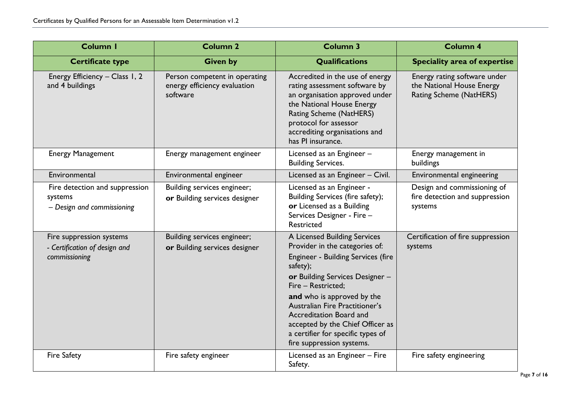| <b>Column I</b>                                                            | <b>Column 2</b>                                                           | <b>Column 3</b>                                                                                                                                                                                                                                                                                                                                                            | <b>Column 4</b>                                                                      |
|----------------------------------------------------------------------------|---------------------------------------------------------------------------|----------------------------------------------------------------------------------------------------------------------------------------------------------------------------------------------------------------------------------------------------------------------------------------------------------------------------------------------------------------------------|--------------------------------------------------------------------------------------|
| <b>Certificate type</b>                                                    | <b>Given by</b>                                                           | <b>Qualifications</b>                                                                                                                                                                                                                                                                                                                                                      | <b>Speciality area of expertise</b>                                                  |
| Energy Efficiency - Class 1, 2<br>and 4 buildings                          | Person competent in operating<br>energy efficiency evaluation<br>software | Accredited in the use of energy<br>rating assessment software by<br>an organisation approved under<br>the National House Energy<br>Rating Scheme (NatHERS)<br>protocol for assessor<br>accrediting organisations and<br>has PI insurance.                                                                                                                                  | Energy rating software under<br>the National House Energy<br>Rating Scheme (NatHERS) |
| <b>Energy Management</b>                                                   | Energy management engineer                                                | Licensed as an Engineer -<br><b>Building Services.</b>                                                                                                                                                                                                                                                                                                                     | Energy management in<br>buildings                                                    |
| Environmental                                                              | Environmental engineer                                                    | Licensed as an Engineer - Civil.                                                                                                                                                                                                                                                                                                                                           | Environmental engineering                                                            |
| Fire detection and suppression<br>systems<br>- Design and commissioning    | Building services engineer;<br>or Building services designer              | Licensed as an Engineer -<br>Building Services (fire safety);<br>or Licensed as a Building<br>Services Designer - Fire -<br>Restricted                                                                                                                                                                                                                                     | Design and commissioning of<br>fire detection and suppression<br>systems             |
| Fire suppression systems<br>- Certification of design and<br>commissioning | Building services engineer;<br>or Building services designer              | A Licensed Building Services<br>Provider in the categories of:<br>Engineer - Building Services (fire<br>safety);<br>or Building Services Designer -<br>Fire - Restricted;<br>and who is approved by the<br>Australian Fire Practitioner's<br>Accreditation Board and<br>accepted by the Chief Officer as<br>a certifier for specific types of<br>fire suppression systems. | Certification of fire suppression<br>systems                                         |
| <b>Fire Safety</b>                                                         | Fire safety engineer                                                      | Licensed as an Engineer - Fire<br>Safety.                                                                                                                                                                                                                                                                                                                                  | Fire safety engineering                                                              |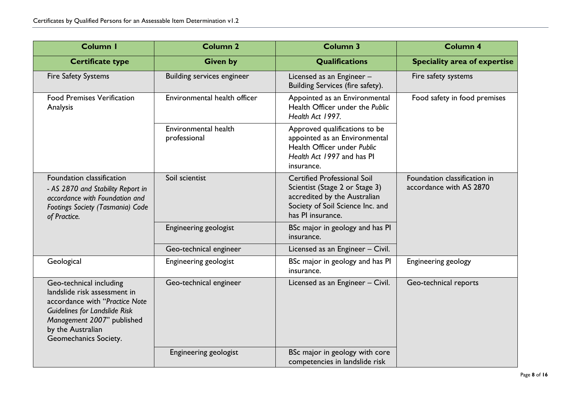| Column I                                                                                                                                                                                                      | <b>Column 2</b>                      | <b>Column 3</b>                                                                                                                                               | <b>Column 4</b>                                         |
|---------------------------------------------------------------------------------------------------------------------------------------------------------------------------------------------------------------|--------------------------------------|---------------------------------------------------------------------------------------------------------------------------------------------------------------|---------------------------------------------------------|
| <b>Certificate type</b>                                                                                                                                                                                       | <b>Given by</b>                      | Qualifications                                                                                                                                                | <b>Speciality area of expertise</b>                     |
| <b>Fire Safety Systems</b>                                                                                                                                                                                    | <b>Building services engineer</b>    | Licensed as an Engineer -<br>Building Services (fire safety).                                                                                                 | Fire safety systems                                     |
| <b>Food Premises Verification</b><br>Analysis                                                                                                                                                                 | Environmental health officer         | Appointed as an Environmental<br>Health Officer under the Public<br>Health Act 1997.                                                                          | Food safety in food premises                            |
|                                                                                                                                                                                                               | Environmental health<br>professional | Approved qualifications to be<br>appointed as an Environmental<br>Health Officer under Public<br>Health Act 1997 and has PI<br>insurance.                     |                                                         |
| Foundation classification<br>- AS 2870 and Stability Report in<br>accordance with Foundation and<br>Footings Society (Tasmania) Code<br>of Practice.                                                          | Soil scientist                       | <b>Certified Professional Soil</b><br>Scientist (Stage 2 or Stage 3)<br>accredited by the Australian<br>Society of Soil Science Inc. and<br>has PI insurance. | Foundation classification in<br>accordance with AS 2870 |
|                                                                                                                                                                                                               | <b>Engineering geologist</b>         | BSc major in geology and has PI<br>insurance.                                                                                                                 |                                                         |
|                                                                                                                                                                                                               | Geo-technical engineer               | Licensed as an Engineer - Civil.                                                                                                                              |                                                         |
| Geological                                                                                                                                                                                                    | <b>Engineering geologist</b>         | BSc major in geology and has PI<br>insurance.                                                                                                                 | <b>Engineering geology</b>                              |
| Geo-technical including<br>landslide risk assessment in<br>accordance with "Practice Note<br><b>Guidelines for Landslide Risk</b><br>Management 2007" published<br>by the Australian<br>Geomechanics Society. | Geo-technical engineer               | Licensed as an Engineer - Civil.                                                                                                                              | Geo-technical reports                                   |
|                                                                                                                                                                                                               | Engineering geologist                | BSc major in geology with core<br>competencies in landslide risk                                                                                              |                                                         |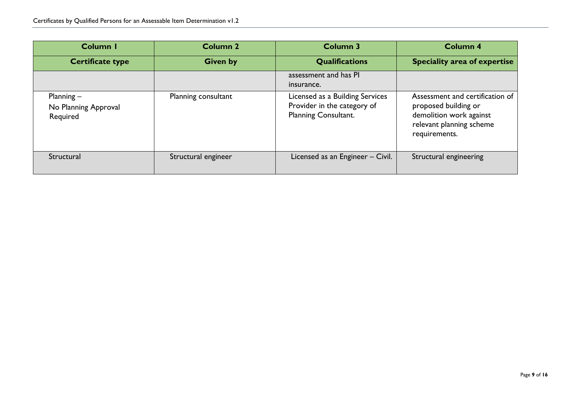| Column I                                         | <b>Column 2</b>     | Column 3                                                                               | <b>Column 4</b>                                                                                                                 |
|--------------------------------------------------|---------------------|----------------------------------------------------------------------------------------|---------------------------------------------------------------------------------------------------------------------------------|
| <b>Certificate type</b>                          | <b>Given by</b>     | <b>Qualifications</b>                                                                  | <b>Speciality area of expertise</b>                                                                                             |
|                                                  |                     | assessment and has PI<br>insurance.                                                    |                                                                                                                                 |
| Planning $-$<br>No Planning Approval<br>Required | Planning consultant | Licensed as a Building Services<br>Provider in the category of<br>Planning Consultant. | Assessment and certification of<br>proposed building or<br>demolition work against<br>relevant planning scheme<br>requirements. |
| Structural                                       | Structural engineer | Licensed as an Engineer - Civil.                                                       | Structural engineering                                                                                                          |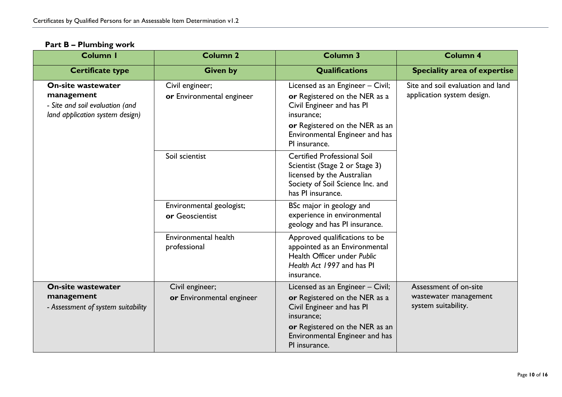#### **Part B – Plumbing work**

<span id="page-9-0"></span>

| Column I                                                                                                      | <b>Column 2</b>                              | <b>Column 3</b>                                                                                                                                                                                   | <b>Column 4</b>                                                       |
|---------------------------------------------------------------------------------------------------------------|----------------------------------------------|---------------------------------------------------------------------------------------------------------------------------------------------------------------------------------------------------|-----------------------------------------------------------------------|
| <b>Certificate type</b>                                                                                       | <b>Given by</b>                              | <b>Qualifications</b>                                                                                                                                                                             | <b>Speciality area of expertise</b>                                   |
| <b>On-site wastewater</b><br>management<br>- Site and soil evaluation (and<br>land application system design) | Civil engineer;<br>or Environmental engineer | Licensed as an Engineer - Civil;<br>or Registered on the NER as a<br>Civil Engineer and has PI<br>insurance;<br>or Registered on the NER as an<br>Environmental Engineer and has<br>PI insurance. | Site and soil evaluation and land<br>application system design.       |
|                                                                                                               | Soil scientist                               | <b>Certified Professional Soil</b><br>Scientist (Stage 2 or Stage 3)<br>licensed by the Australian<br>Society of Soil Science Inc. and<br>has PI insurance.                                       |                                                                       |
|                                                                                                               | Environmental geologist;<br>or Geoscientist  | BSc major in geology and<br>experience in environmental<br>geology and has PI insurance.                                                                                                          |                                                                       |
|                                                                                                               | Environmental health<br>professional         | Approved qualifications to be<br>appointed as an Environmental<br>Health Officer under Public<br>Health Act 1997 and has PI<br>insurance.                                                         |                                                                       |
| <b>On-site wastewater</b><br>management<br>- Assessment of system suitability                                 | Civil engineer;<br>or Environmental engineer | Licensed as an Engineer - Civil;<br>or Registered on the NER as a<br>Civil Engineer and has PI<br>insurance;<br>or Registered on the NER as an<br>Environmental Engineer and has<br>PI insurance. | Assessment of on-site<br>wastewater management<br>system suitability. |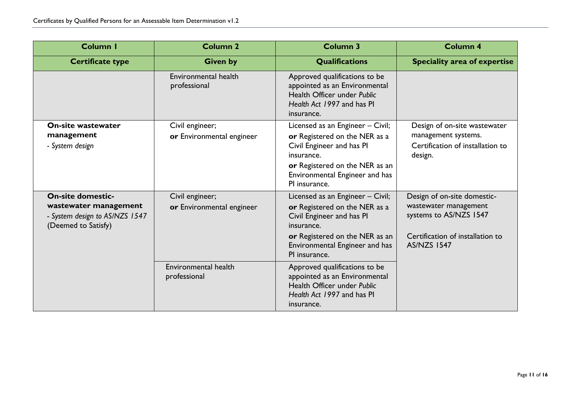| <b>Column I</b>                                                                                            | <b>Column 2</b>                              | <b>Column 3</b>                                                                                                                                                                                   | <b>Column 4</b>                                                                                                                          |
|------------------------------------------------------------------------------------------------------------|----------------------------------------------|---------------------------------------------------------------------------------------------------------------------------------------------------------------------------------------------------|------------------------------------------------------------------------------------------------------------------------------------------|
| <b>Certificate type</b>                                                                                    | <b>Given by</b>                              | <b>Qualifications</b>                                                                                                                                                                             | Speciality area of expertise                                                                                                             |
|                                                                                                            | Environmental health<br>professional         | Approved qualifications to be<br>appointed as an Environmental<br>Health Officer under Public<br>Health Act 1997 and has PI<br>insurance.                                                         |                                                                                                                                          |
| <b>On-site wastewater</b><br>management<br>- System design                                                 | Civil engineer;<br>or Environmental engineer | Licensed as an Engineer - Civil;<br>or Registered on the NER as a<br>Civil Engineer and has PI<br>insurance.<br>or Registered on the NER as an<br>Environmental Engineer and has<br>PI insurance. | Design of on-site wastewater<br>management systems.<br>Certification of installation to<br>design.                                       |
| <b>On-site domestic-</b><br>wastewater management<br>- System design to AS/NZS 1547<br>(Deemed to Satisfy) | Civil engineer;<br>or Environmental engineer | Licensed as an Engineer - Civil;<br>or Registered on the NER as a<br>Civil Engineer and has PI<br>insurance.<br>or Registered on the NER as an<br>Environmental Engineer and has<br>PI insurance. | Design of on-site domestic-<br>wastewater management<br>systems to AS/NZS 1547<br>Certification of installation to<br><b>AS/NZS 1547</b> |
|                                                                                                            | Environmental health<br>professional         | Approved qualifications to be<br>appointed as an Environmental<br>Health Officer under Public<br>Health Act 1997 and has PI<br>insurance.                                                         |                                                                                                                                          |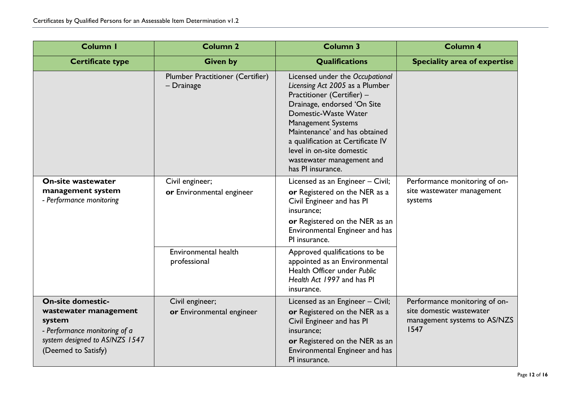| Column I                                                                                                                                              | <b>Column 2</b>                                       | <b>Column 3</b>                                                                                                                                                                                                                                                                                                                           | <b>Column 4</b>                                                                                   |
|-------------------------------------------------------------------------------------------------------------------------------------------------------|-------------------------------------------------------|-------------------------------------------------------------------------------------------------------------------------------------------------------------------------------------------------------------------------------------------------------------------------------------------------------------------------------------------|---------------------------------------------------------------------------------------------------|
| <b>Certificate type</b>                                                                                                                               | <b>Given by</b>                                       | <b>Qualifications</b>                                                                                                                                                                                                                                                                                                                     | <b>Speciality area of expertise</b>                                                               |
|                                                                                                                                                       | <b>Plumber Practitioner (Certifier)</b><br>- Drainage | Licensed under the Occupational<br>Licensing Act 2005 as a Plumber<br>Practitioner (Certifier) -<br>Drainage, endorsed 'On Site<br>Domestic-Waste Water<br><b>Management Systems</b><br>Maintenance' and has obtained<br>a qualification at Certificate IV<br>level in on-site domestic<br>wastewater management and<br>has PI insurance. |                                                                                                   |
| <b>On-site wastewater</b><br>management system<br>- Performance monitoring                                                                            | Civil engineer;<br>or Environmental engineer          | Licensed as an Engineer - Civil;<br>or Registered on the NER as a<br>Civil Engineer and has PI<br>insurance;<br>or Registered on the NER as an<br>Environmental Engineer and has<br>PI insurance.                                                                                                                                         | Performance monitoring of on-<br>site wastewater management<br>systems                            |
|                                                                                                                                                       | Environmental health<br>professional                  | Approved qualifications to be<br>appointed as an Environmental<br>Health Officer under Public<br>Health Act 1997 and has PI<br>insurance.                                                                                                                                                                                                 |                                                                                                   |
| <b>On-site domestic-</b><br>wastewater management<br>system<br>- Performance monitoring of a<br>system designed to AS/NZS 1547<br>(Deemed to Satisfy) | Civil engineer;<br>or Environmental engineer          | Licensed as an Engineer - Civil;<br>or Registered on the NER as a<br>Civil Engineer and has PI<br>insurance;<br>or Registered on the NER as an<br>Environmental Engineer and has<br>PI insurance.                                                                                                                                         | Performance monitoring of on-<br>site domestic wastewater<br>management systems to AS/NZS<br>1547 |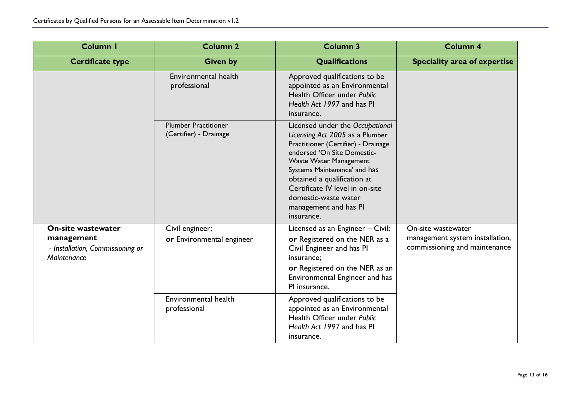| Column I                                                                                   | <b>Column 2</b>                                       | <b>Column 3</b>                                                                                                                                                                                                                                                                                                                            | <b>Column 4</b>                                                                        |
|--------------------------------------------------------------------------------------------|-------------------------------------------------------|--------------------------------------------------------------------------------------------------------------------------------------------------------------------------------------------------------------------------------------------------------------------------------------------------------------------------------------------|----------------------------------------------------------------------------------------|
| <b>Certificate type</b>                                                                    | <b>Given by</b>                                       | <b>Qualifications</b>                                                                                                                                                                                                                                                                                                                      | <b>Speciality area of expertise</b>                                                    |
|                                                                                            | Environmental health<br>professional                  | Approved qualifications to be<br>appointed as an Environmental<br>Health Officer under Public<br>Health Act 1997 and has PI<br>insurance.                                                                                                                                                                                                  |                                                                                        |
|                                                                                            | <b>Plumber Practitioner</b><br>(Certifier) - Drainage | Licensed under the Occupational<br>Licensing Act 2005 as a Plumber<br>Practitioner (Certifier) - Drainage<br>endorsed 'On Site Domestic-<br><b>Waste Water Management</b><br>Systems Maintenance' and has<br>obtained a qualification at<br>Certificate IV level in on-site<br>domestic-waste water<br>management and has PI<br>insurance. |                                                                                        |
| <b>On-site wastewater</b><br>management<br>- Installation, Commissioning or<br>Maintenance | Civil engineer;<br>or Environmental engineer          | Licensed as an Engineer - Civil;<br>or Registered on the NER as a<br>Civil Engineer and has PI<br>insurance;<br>or Registered on the NER as an<br>Environmental Engineer and has<br>PI insurance.                                                                                                                                          | On-site wastewater<br>management system installation,<br>commissioning and maintenance |
|                                                                                            | Environmental health<br>professional                  | Approved qualifications to be<br>appointed as an Environmental<br>Health Officer under Public<br>Health Act 1997 and has PI<br>insurance.                                                                                                                                                                                                  |                                                                                        |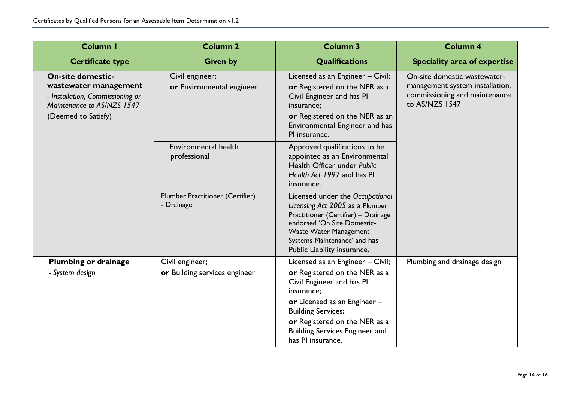| Column I                                                                                                                                   | <b>Column 2</b>                                       | <b>Column 3</b>                                                                                                                                                                                                                                                            | <b>Column 4</b>                                                                                                    |
|--------------------------------------------------------------------------------------------------------------------------------------------|-------------------------------------------------------|----------------------------------------------------------------------------------------------------------------------------------------------------------------------------------------------------------------------------------------------------------------------------|--------------------------------------------------------------------------------------------------------------------|
| <b>Certificate type</b>                                                                                                                    | <b>Given by</b>                                       | Qualifications                                                                                                                                                                                                                                                             | <b>Speciality area of expertise</b>                                                                                |
| <b>On-site domestic-</b><br>wastewater management<br>- Installation, Commissioning or<br>Maintenance to AS/NZS 1547<br>(Deemed to Satisfy) | Civil engineer;<br>or Environmental engineer          | Licensed as an Engineer - Civil;<br>or Registered on the NER as a<br>Civil Engineer and has PI<br>insurance;<br>or Registered on the NER as an<br>Environmental Engineer and has<br>PI insurance.                                                                          | On-site domestic wastewater-<br>management system installation,<br>commissioning and maintenance<br>to AS/NZS 1547 |
|                                                                                                                                            | Environmental health<br>professional                  | Approved qualifications to be<br>appointed as an Environmental<br>Health Officer under Public<br>Health Act 1997 and has PI<br>insurance.                                                                                                                                  |                                                                                                                    |
|                                                                                                                                            | <b>Plumber Practitioner (Certifier)</b><br>- Drainage | Licensed under the Occupational<br>Licensing Act 2005 as a Plumber<br>Practitioner (Certifier) - Drainage<br>endorsed 'On Site Domestic-<br><b>Waste Water Management</b><br>Systems Maintenance' and has<br>Public Liability insurance.                                   |                                                                                                                    |
| <b>Plumbing or drainage</b><br>- System design                                                                                             | Civil engineer;<br>or Building services engineer      | Licensed as an Engineer - Civil;<br>or Registered on the NER as a<br>Civil Engineer and has PI<br>insurance;<br>or Licensed as an Engineer $-$<br><b>Building Services;</b><br>or Registered on the NER as a<br><b>Building Services Engineer and</b><br>has PI insurance. | Plumbing and drainage design                                                                                       |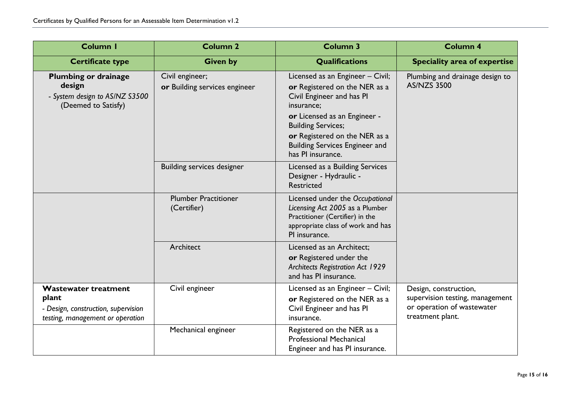| <b>Column I</b>                                                                                                 | <b>Column 2</b>                                  | <b>Column 3</b>                                                                                                                                                                                                                                                          | <b>Column 4</b>                                                                                            |
|-----------------------------------------------------------------------------------------------------------------|--------------------------------------------------|--------------------------------------------------------------------------------------------------------------------------------------------------------------------------------------------------------------------------------------------------------------------------|------------------------------------------------------------------------------------------------------------|
| <b>Certificate type</b>                                                                                         | <b>Given by</b>                                  | Qualifications                                                                                                                                                                                                                                                           | <b>Speciality area of expertise</b>                                                                        |
| <b>Plumbing or drainage</b><br>design<br>- System design to AS/NZ S3500<br>(Deemed to Satisfy)                  | Civil engineer;<br>or Building services engineer | Licensed as an Engineer - Civil;<br>or Registered on the NER as a<br>Civil Engineer and has PI<br>insurance;<br>or Licensed as an Engineer -<br><b>Building Services;</b><br>or Registered on the NER as a<br><b>Building Services Engineer and</b><br>has PI insurance. | Plumbing and drainage design to<br><b>AS/NZS 3500</b>                                                      |
|                                                                                                                 | <b>Building services designer</b>                | Licensed as a Building Services<br>Designer - Hydraulic -<br>Restricted                                                                                                                                                                                                  |                                                                                                            |
|                                                                                                                 | <b>Plumber Practitioner</b><br>(Certifier)       | Licensed under the Occupational<br>Licensing Act 2005 as a Plumber<br>Practitioner (Certifier) in the<br>appropriate class of work and has<br>PI insurance.                                                                                                              |                                                                                                            |
|                                                                                                                 | Architect                                        | Licensed as an Architect;<br>or Registered under the<br><b>Architects Registration Act 1929</b><br>and has PI insurance.                                                                                                                                                 |                                                                                                            |
| <b>Wastewater treatment</b><br>plant<br>- Design, construction, supervision<br>testing, management or operation | Civil engineer                                   | Licensed as an Engineer - Civil;<br>or Registered on the NER as a<br>Civil Engineer and has PI<br>insurance.                                                                                                                                                             | Design, construction,<br>supervision testing, management<br>or operation of wastewater<br>treatment plant. |
|                                                                                                                 | Mechanical engineer                              | Registered on the NER as a<br><b>Professional Mechanical</b><br>Engineer and has PI insurance.                                                                                                                                                                           |                                                                                                            |